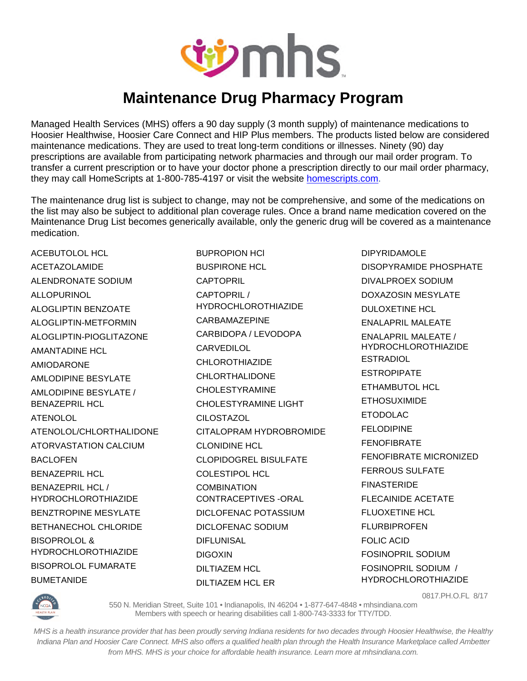

## **Maintenance Drug Pharmacy Program**

Managed Health Services (MHS) offers a 90 day supply (3 month supply) of maintenance medications to Hoosier Healthwise, Hoosier Care Connect and HIP Plus members. The products listed below are considered maintenance medications. They are used to treat long-term conditions or illnesses. Ninety (90) day prescriptions are available from participating network pharmacies and through our mail order program. To transfer a current prescription or to have your doctor phone a prescription directly to our mail order pharmacy, they may call HomeScripts at 1-800-785-4197 or visit the website homescripts.com.

The maintenance drug list is subject to change, may not be comprehensive, and some of the medications on the list may also be subject to additional plan coverage rules. Once a brand name medication covered on the Maintenance Drug List becomes generically available, only the generic drug will be covered as a maintenance medication.

ACEBUTOLOL HCL ACETAZOLAMIDE ALENDRONATE SODIUM ALLOPURINOL ALOGLIPTIN BENZOATE ALOGLIPTIN-METFORMIN ALOGLIPTIN-PIOGLITAZONE AMANTADINE HCL AMIODARONE AMLODIPINE BESYLATE AMLODIPINE BESYLATE / BENAZEPRIL HCL ATENOLOL ATENOLOL/CHLORTHALIDONE ATORVASTATION CALCIUM BACLOFEN BENAZEPRIL HCL BENAZEPRIL HCL / HYDROCHLOROTHIAZIDE BENZTROPINE MESYLATE BETHANECHOL CHLORIDE BISOPROLOL & HYDROCHLOROTHIAZIDE BISOPROLOL FUMARATE BUMETANIDE

BUPROPION HCl BUSPIRONE HCL **CAPTOPRIL** CAPTOPRIL / HYDROCHLOROTHIAZIDE CARBAMAZEPINE CARBIDOPA / LEVODOPA CARVEDILOL CHI OROTHIAZIDE CHLORTHALIDONE CHOLESTYRAMINE CHOLESTYRAMINE LIGHT **CILOSTAZOL** CITALOPRAM HYDROBROMIDE CLONIDINE HCL CLOPIDOGREL BISULFATE COLESTIPOL HCL **COMBINATION** CONTRACEPTIVES -ORAL DICLOFENAC POTASSIUM DICLOFENAC SODIUM **DIFLUNISAL** DIGOXIN DILTIAZEM HCL DILTIAZEM HCL ER

DIPYRIDAMOLE DISOPYRAMIDE PHOSPHATE DIVALPROEX SODIUM DOXAZOSIN MESYLATE DULOXETINE HCL ENALAPRIL MALEATE ENALAPRIL MALEATE / HYDROCHLOROTHIAZIDE ESTRADIOL ESTROPIPATE ETHAMBUTOL HCL ETHOSUXIMIDE ETODOLAC FELODIPINE **FFNOFIBRATE** FENOFIBRATE MICRONIZED FERROUS SULFATE **FINASTERIDE** FLECAINIDE ACETATE FLUOXETINE HCL FLURBIPROFEN FOLIC ACID FOSINOPRIL SODIUM FOSINOPRIL SODIUM / HYDROCHLOROTHIAZIDE



0817.PH.O.FL 8/17

550 N. Meridian Street, Suite 101 • Indianapolis, IN 46204 • 1-877-647-4848 • mhsindiana.com Members with speech or hearing disabilities call 1-800-743-3333 for TTY/TDD.

*MHS is a health insurance provider that has been proudly serving Indiana residents for two decades through Hoosier Healthwise, the Healthy Indiana Plan and Hoosier Care Connect. MHS also offers a qualified health plan through the Health Insurance Marketplace called Ambetter from MHS. MHS is your choice for affordable health insurance. Learn more at mhsindiana.com.*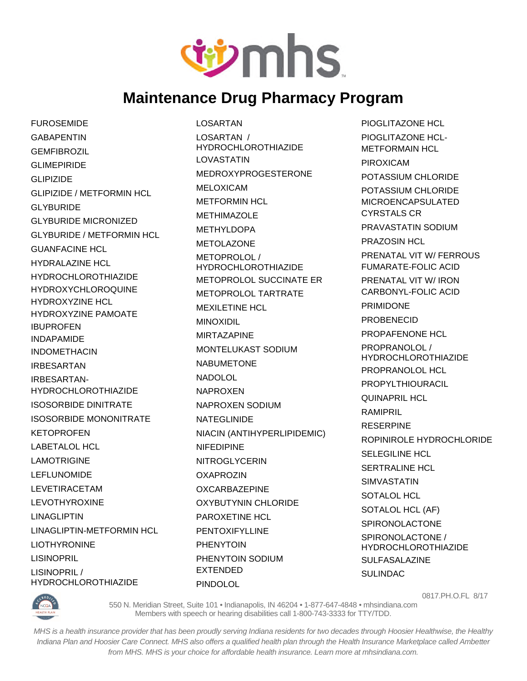

## **Maintenance Drug Pharmacy Program**

**FUROSEMIDE GABAPENTIN GEMFIBROZIL** GLIMEPIRIDE GLIPIZIDE GLIPIZIDE / METFORMIN HCL GLYBURIDE GLYBURIDE MICRONIZED GLYBURIDE / METFORMIN HCL GUANFACINE HCL HYDRALAZINE HCL HYDROCHLOROTHIAZIDE HYDROXYCHLOROQUINE HYDROXYZINE HCL HYDROXYZINE PAMOATE IBUPROFEN INDAPAMIDE INDOMETHACIN IRBESARTAN IRBESARTAN-HYDROCHLOROTHIAZIDE ISOSORBIDE DINITRATE ISOSORBIDE MONONITRATE **KETOPROFEN** LABETALOL HCL LAMOTRIGINE LEFLUNOMIDE LEVETIRACETAM LEVOTHYROXINE LINAGLIPTIN LINAGLIPTIN-METFORMIN HCL LIOTHYRONINE LISINOPRIL LISINOPRIL / HYDROCHLOROTHIAZIDE

LOSARTAN LOSARTAN / HYDROCHLOROTHIAZIDE LOVASTATIN MEDROXYPROGESTERONE MELOXICAM METFORMIN HCL METHIMAZOLE METHYLDOPA METOL AZONE METOPROLOL / HYDROCHLOROTHIAZIDE METOPROLOL SUCCINATE ER METOPROLOL TARTRATE MEXILETINE HCL MINOXIDIL MIRTAZAPINE MONTELUKAST SODIUM NABUMETONE NADOLOL NAPROXEN NAPROXEN SODIUM NATEGLINIDE NIACIN (ANTIHYPERLIPIDEMIC) NIFEDIPINE NITROGLYCERIN **OXAPROZIN OXCARBAZEPINE** OXYBUTYNIN CHLORIDE PAROXETINE HCL PENTOXIFYLLINE PHENYTOIN PHENYTOIN SODIUM EXTENDED PINDOLOL

PIOGLITAZONE HCL PIOGLITAZONE HCL-METFORMAIN HCL PIROXICAM POTASSIUM CHLORIDE POTASSIUM CHLORIDE MICROENCAPSULATED CYRSTALS CR PRAVASTATIN SODIUM PRAZOSIN HCL PRENATAL VIT W/ FERROUS FUMARATE-FOLIC ACID PRENATAL VIT W/ IRON CARBONYL-FOLIC ACID PRIMIDONE PROBENECID PROPAFFNONF HCL PROPRANOLOL / HYDROCHLOROTHIAZIDE PROPRANOLOL HCL PROPYLTHIOURACIL QUINAPRIL HCL RAMIPRIL RESERPINE ROPINIROLE HYDROCHLORIDE SELEGILINE HCL SERTRALINE HCL SIMVASTATIN SOTALOL HCL SOTALOL HCL (AF) SPIRONOLACTONE SPIRONOLACTONE / HYDROCHLOROTHIAZIDE SULFASALAZINE SULINDAC



0817.PH.O.FL 8/17

550 N. Meridian Street, Suite 101 • Indianapolis, IN 46204 • 1-877-647-4848 • mhsindiana.com Members with speech or hearing disabilities call 1-800-743-3333 for TTY/TDD.

*MHS is a health insurance provider that has been proudly serving Indiana residents for two decades through Hoosier Healthwise, the Healthy Indiana Plan and Hoosier Care Connect. MHS also offers a qualified health plan through the Health Insurance Marketplace called Ambetter from MHS. MHS is your choice for affordable health insurance. Learn more at mhsindiana.com.*